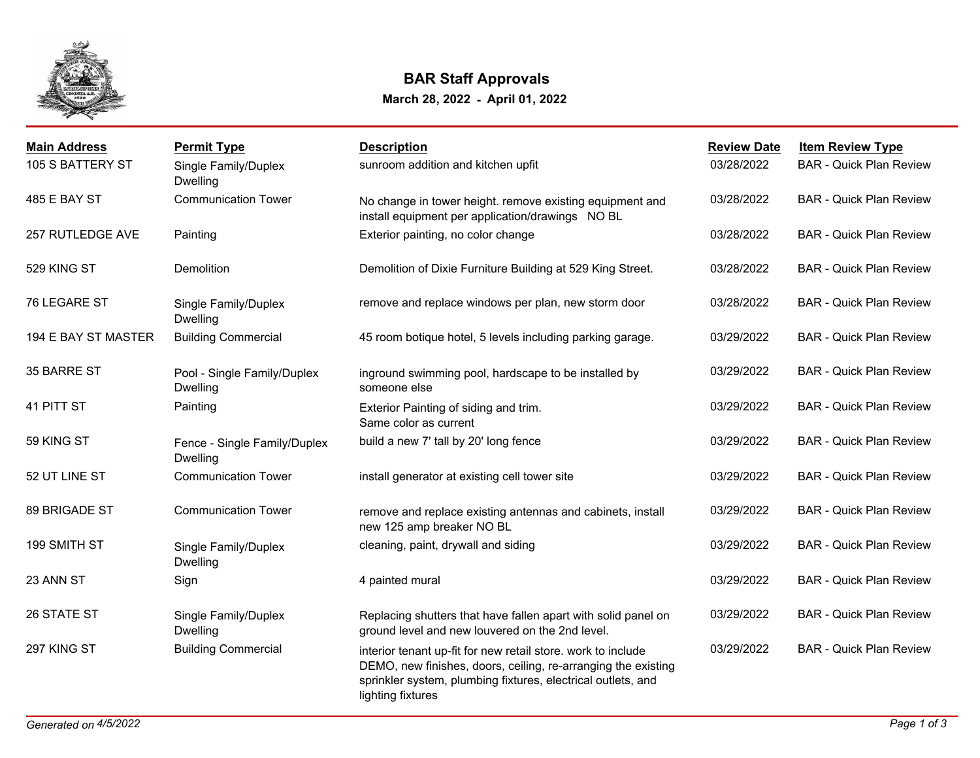

## **BAR Staff Approvals**

## **March 28, 2022 - April 01, 2022**

| <b>Main Address</b> | <b>Permit Type</b>                              | <b>Description</b>                                                                                                                                                                                                 | <b>Review Date</b> | <b>Item Review Type</b>        |
|---------------------|-------------------------------------------------|--------------------------------------------------------------------------------------------------------------------------------------------------------------------------------------------------------------------|--------------------|--------------------------------|
| 105 S BATTERY ST    | Single Family/Duplex<br>Dwelling                | sunroom addition and kitchen upfit                                                                                                                                                                                 | 03/28/2022         | <b>BAR - Quick Plan Review</b> |
| 485 E BAY ST        | <b>Communication Tower</b>                      | No change in tower height. remove existing equipment and<br>install equipment per application/drawings NO BL                                                                                                       | 03/28/2022         | <b>BAR - Quick Plan Review</b> |
| 257 RUTLEDGE AVE    | Painting                                        | Exterior painting, no color change                                                                                                                                                                                 | 03/28/2022         | <b>BAR - Quick Plan Review</b> |
| 529 KING ST         | Demolition                                      | Demolition of Dixie Furniture Building at 529 King Street.                                                                                                                                                         | 03/28/2022         | <b>BAR - Quick Plan Review</b> |
| 76 LEGARE ST        | Single Family/Duplex<br><b>Dwelling</b>         | remove and replace windows per plan, new storm door                                                                                                                                                                | 03/28/2022         | <b>BAR - Quick Plan Review</b> |
| 194 E BAY ST MASTER | <b>Building Commercial</b>                      | 45 room botique hotel, 5 levels including parking garage.                                                                                                                                                          | 03/29/2022         | <b>BAR - Quick Plan Review</b> |
| 35 BARRE ST         | Pool - Single Family/Duplex<br><b>Dwelling</b>  | inground swimming pool, hardscape to be installed by<br>someone else                                                                                                                                               | 03/29/2022         | <b>BAR - Quick Plan Review</b> |
| 41 PITT ST          | Painting                                        | Exterior Painting of siding and trim.<br>Same color as current                                                                                                                                                     | 03/29/2022         | <b>BAR - Quick Plan Review</b> |
| 59 KING ST          | Fence - Single Family/Duplex<br><b>Dwelling</b> | build a new 7' tall by 20' long fence                                                                                                                                                                              | 03/29/2022         | <b>BAR - Quick Plan Review</b> |
| 52 UT LINE ST       | <b>Communication Tower</b>                      | install generator at existing cell tower site                                                                                                                                                                      | 03/29/2022         | <b>BAR - Quick Plan Review</b> |
| 89 BRIGADE ST       | <b>Communication Tower</b>                      | remove and replace existing antennas and cabinets, install<br>new 125 amp breaker NO BL                                                                                                                            | 03/29/2022         | <b>BAR - Quick Plan Review</b> |
| 199 SMITH ST        | Single Family/Duplex<br><b>Dwelling</b>         | cleaning, paint, drywall and siding                                                                                                                                                                                | 03/29/2022         | <b>BAR - Quick Plan Review</b> |
| 23 ANN ST           | Sign                                            | 4 painted mural                                                                                                                                                                                                    | 03/29/2022         | <b>BAR - Quick Plan Review</b> |
| 26 STATE ST         | Single Family/Duplex<br><b>Dwelling</b>         | Replacing shutters that have fallen apart with solid panel on<br>ground level and new louvered on the 2nd level.                                                                                                   | 03/29/2022         | <b>BAR - Quick Plan Review</b> |
| 297 KING ST         | <b>Building Commercial</b>                      | interior tenant up-fit for new retail store. work to include<br>DEMO, new finishes, doors, ceiling, re-arranging the existing<br>sprinkler system, plumbing fixtures, electrical outlets, and<br>lighting fixtures | 03/29/2022         | <b>BAR - Quick Plan Review</b> |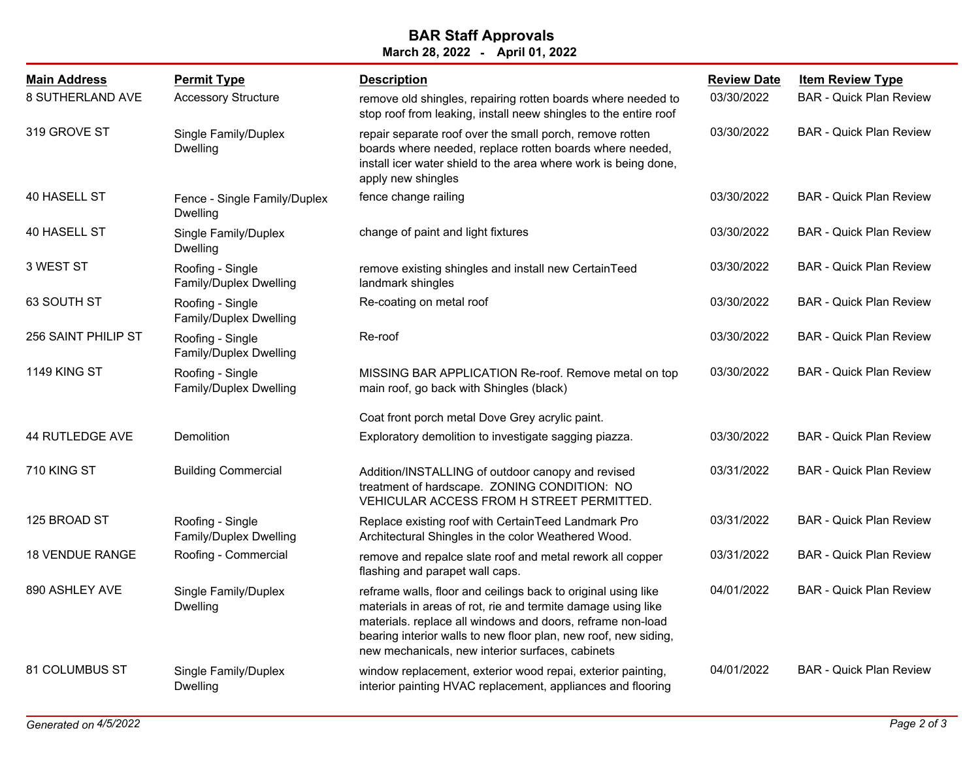## **March 28, 2022 - April 01, 2022 BAR Staff Approvals**

| <b>Main Address</b><br>8 SUTHERLAND AVE | <b>Permit Type</b><br><b>Accessory Structure</b> | <b>Description</b><br>remove old shingles, repairing rotten boards where needed to<br>stop roof from leaking, install neew shingles to the entire roof                                                                                                                                                             | <b>Review Date</b><br>03/30/2022 | <b>Item Review Type</b><br><b>BAR - Quick Plan Review</b> |
|-----------------------------------------|--------------------------------------------------|--------------------------------------------------------------------------------------------------------------------------------------------------------------------------------------------------------------------------------------------------------------------------------------------------------------------|----------------------------------|-----------------------------------------------------------|
| 319 GROVE ST                            | Single Family/Duplex<br>Dwelling                 | repair separate roof over the small porch, remove rotten<br>boards where needed, replace rotten boards where needed,<br>install icer water shield to the area where work is being done,<br>apply new shingles                                                                                                      | 03/30/2022                       | <b>BAR - Quick Plan Review</b>                            |
| 40 HASELL ST                            | Fence - Single Family/Duplex<br><b>Dwelling</b>  | fence change railing                                                                                                                                                                                                                                                                                               | 03/30/2022                       | <b>BAR - Quick Plan Review</b>                            |
| 40 HASELL ST                            | Single Family/Duplex<br><b>Dwelling</b>          | change of paint and light fixtures                                                                                                                                                                                                                                                                                 | 03/30/2022                       | <b>BAR - Quick Plan Review</b>                            |
| 3 WEST ST                               | Roofing - Single<br>Family/Duplex Dwelling       | remove existing shingles and install new CertainTeed<br>landmark shingles                                                                                                                                                                                                                                          | 03/30/2022                       | <b>BAR - Quick Plan Review</b>                            |
| 63 SOUTH ST                             | Roofing - Single<br>Family/Duplex Dwelling       | Re-coating on metal roof                                                                                                                                                                                                                                                                                           | 03/30/2022                       | <b>BAR - Quick Plan Review</b>                            |
| 256 SAINT PHILIP ST                     | Roofing - Single<br>Family/Duplex Dwelling       | Re-roof                                                                                                                                                                                                                                                                                                            | 03/30/2022                       | <b>BAR - Quick Plan Review</b>                            |
| 1149 KING ST                            | Roofing - Single<br>Family/Duplex Dwelling       | MISSING BAR APPLICATION Re-roof. Remove metal on top<br>main roof, go back with Shingles (black)                                                                                                                                                                                                                   | 03/30/2022                       | <b>BAR - Quick Plan Review</b>                            |
|                                         |                                                  | Coat front porch metal Dove Grey acrylic paint.                                                                                                                                                                                                                                                                    |                                  |                                                           |
| 44 RUTLEDGE AVE                         | Demolition                                       | Exploratory demolition to investigate sagging piazza.                                                                                                                                                                                                                                                              | 03/30/2022                       | <b>BAR - Quick Plan Review</b>                            |
| 710 KING ST                             | <b>Building Commercial</b>                       | Addition/INSTALLING of outdoor canopy and revised<br>treatment of hardscape. ZONING CONDITION: NO<br>VEHICULAR ACCESS FROM H STREET PERMITTED.                                                                                                                                                                     | 03/31/2022                       | <b>BAR - Quick Plan Review</b>                            |
| 125 BROAD ST                            | Roofing - Single<br>Family/Duplex Dwelling       | Replace existing roof with CertainTeed Landmark Pro<br>Architectural Shingles in the color Weathered Wood.                                                                                                                                                                                                         | 03/31/2022                       | <b>BAR - Quick Plan Review</b>                            |
| <b>18 VENDUE RANGE</b>                  | Roofing - Commercial                             | remove and repalce slate roof and metal rework all copper<br>flashing and parapet wall caps.                                                                                                                                                                                                                       | 03/31/2022                       | <b>BAR - Quick Plan Review</b>                            |
| 890 ASHLEY AVE                          | Single Family/Duplex<br><b>Dwelling</b>          | reframe walls, floor and ceilings back to original using like<br>materials in areas of rot, rie and termite damage using like<br>materials. replace all windows and doors, reframe non-load<br>bearing interior walls to new floor plan, new roof, new siding,<br>new mechanicals, new interior surfaces, cabinets | 04/01/2022                       | <b>BAR - Quick Plan Review</b>                            |
| 81 COLUMBUS ST                          | Single Family/Duplex<br>Dwelling                 | window replacement, exterior wood repai, exterior painting,<br>interior painting HVAC replacement, appliances and flooring                                                                                                                                                                                         | 04/01/2022                       | <b>BAR - Quick Plan Review</b>                            |